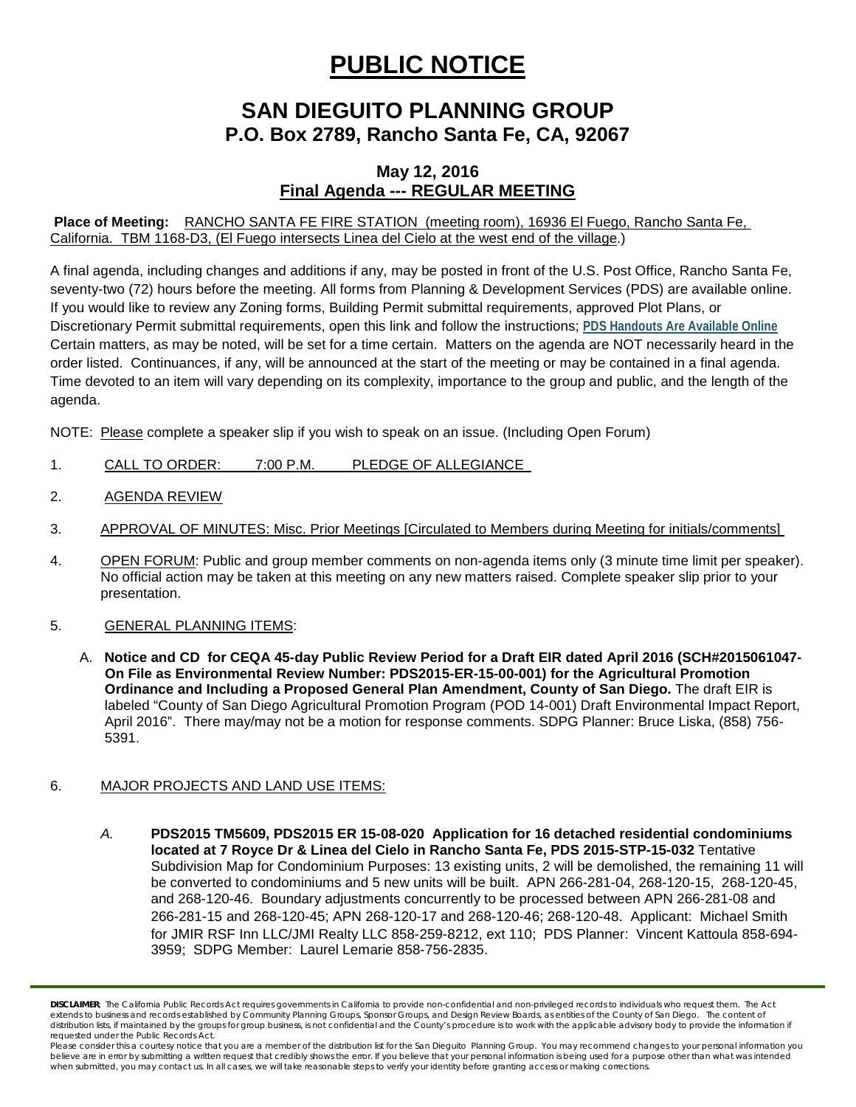# **PUBLIC NOTICE**

## **SAN DIEGUITO PLANNING GROUP P.O. Box 2789, Rancho Santa Fe, CA, 92067**

### **May 12, 2016 Final Agenda --- REGULAR MEETING**

#### **Place of Meeting:** RANCHO SANTA FE FIRE STATION (meeting room), 16936 El Fuego, Rancho Santa Fe, California. TBM 1168-D3, (El Fuego intersects Linea del Cielo at the west end of the village.)

A final agenda, including changes and additions if any, may be posted in front of the U.S. Post Office, Rancho Santa Fe, seventy-two (72) hours before the meeting. All forms from Planning & Development Services (PDS) are available online. If you would like to review any Zoning forms, Building Permit submittal requirements, approved Plot Plans, or Discretionary Permit submittal requirements, open this link and follow the instructions; **[PDS Handouts Are Available Online](http://www.sdcounty.ca.gov/pds/zoning/formfields/PDS-318.pdf)** Certain matters, as may be noted, will be set for a time certain. Matters on the agenda are NOT necessarily heard in the order listed. Continuances, if any, will be announced at the start of the meeting or may be contained in a final agenda. Time devoted to an item will vary depending on its complexity, importance to the group and public, and the length of the agenda.

NOTE: Please complete a speaker slip if you wish to speak on an issue. (Including Open Forum)

- 1. CALL TO ORDER: 7:00 P.M. PLEDGE OF ALLEGIANCE
- 2. AGENDA REVIEW
- 3. APPROVAL OF MINUTES: Misc. Prior Meetings [Circulated to Members during Meeting for initials/comments]
- 4. OPEN FORUM: Public and group member comments on non-agenda items only (3 minute time limit per speaker). No official action may be taken at this meeting on any new matters raised. Complete speaker slip prior to your presentation.
- 5. GENERAL PLANNING ITEMS:
	- A. **Notice and CD for CEQA 45-day Public Review Period for a Draft EIR dated April 2016 (SCH#2015061047- On File as Environmental Review Number: PDS2015-ER-15-00-001) for the Agricultural Promotion Ordinance and Including a Proposed General Plan Amendment, County of San Diego.** The draft EIR is labeled "County of San Diego Agricultural Promotion Program (POD 14-001) Draft Environmental Impact Report, April 2016". There may/may not be a motion for response comments. SDPG Planner: Bruce Liska, (858) 756- 5391.

#### 6. MAJOR PROJECTS AND LAND USE ITEMS:

*A.* **PDS2015 TM5609, PDS2015 ER 15-08-020 Application for 16 detached residential condominiums located at 7 Royce Dr & Linea del Cielo in Rancho Santa Fe, PDS 2015-STP-15-032** Tentative Subdivision Map for Condominium Purposes: 13 existing units, 2 will be demolished, the remaining 11 will be converted to condominiums and 5 new units will be built. APN 266-281-04, 268-120-15, 268-120-45, and 268-120-46. Boundary adjustments concurrently to be processed between APN 266-281-08 and 266-281-15 and 268-120-45; APN 268-120-17 and 268-120-46; 268-120-48. Applicant: Michael Smith for JMIR RSF Inn LLC/JMI Realty LLC 858-259-8212, ext 110; PDS Planner: Vincent Kattoula 858-694- 3959; SDPG Member: Laurel Lemarie 858-756-2835.

*DISCLAIMER; The California Public Records Act requires governments in California to provide non-confidential and non-privileged records to individuals who request them. The Act extends to business and records established by Community Planning Groups, Sponsor Groups, and Design Review Boards, as entities of the County of San Diego. The content of distribution lists, if maintained by the groups for group business, is not confidential and the County's procedure is to work with the applicable advisory body to provide the information if requested under the Public Records Act.*

Please consider this a courtesy notice that you are a member of the distribution list for the San Dieguito Planning Group. You may recommend changes to your personal information you *believe are in error by submitting a written request that credibly shows the error. If you believe that your personal information is being used for a purpose other than what was intended*  when submitted, you may contact us. In all cases, we will take reasonable steps to verify your identity before granting access or making corrections.